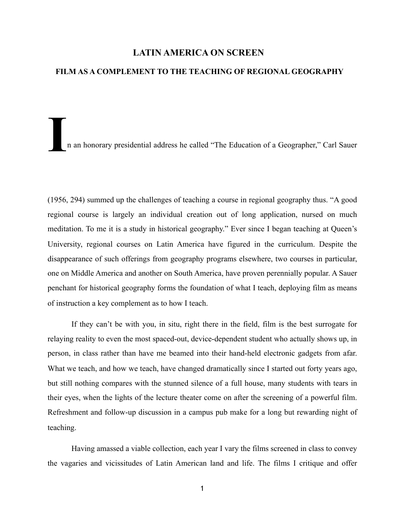### **LATIN AMERICA ON SCREEN**

### **FILM AS A COMPLEMENT TO THE TEACHING OF REGIONAL GEOGRAPHY**

**I**n an honorary presidential address he called "The Education of a Geographer," Carl Sauer

(1956, 294) summed up the challenges of teaching a course in regional geography thus. "A good regional course is largely an individual creation out of long application, nursed on much meditation. To me it is a study in historical geography." Ever since I began teaching at Queen's University, regional courses on Latin America have figured in the curriculum. Despite the disappearance of such offerings from geography programs elsewhere, two courses in particular, one on Middle America and another on South America, have proven perennially popular. A Sauer penchant for historical geography forms the foundation of what I teach, deploying film as means of instruction a key complement as to how I teach.

If they can't be with you, in situ, right there in the field, film is the best surrogate for relaying reality to even the most spaced-out, device-dependent student who actually shows up, in person, in class rather than have me beamed into their hand-held electronic gadgets from afar. What we teach, and how we teach, have changed dramatically since I started out forty years ago, but still nothing compares with the stunned silence of a full house, many students with tears in their eyes, when the lights of the lecture theater come on after the screening of a powerful film. Refreshment and follow-up discussion in a campus pub make for a long but rewarding night of teaching.

Having amassed a viable collection, each year I vary the films screened in class to convey the vagaries and vicissitudes of Latin American land and life. The films I critique and offer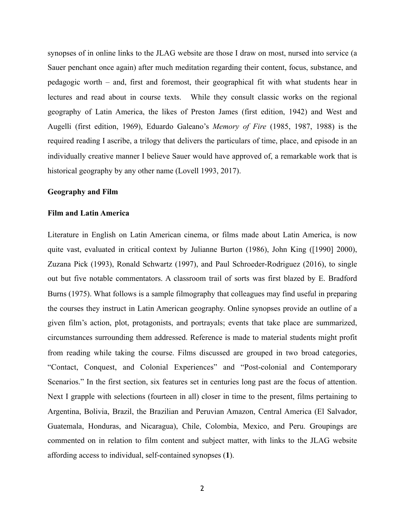synopses of in online links to the JLAG website are those I draw on most, nursed into service (a Sauer penchant once again) after much meditation regarding their content, focus, substance, and pedagogic worth – and, first and foremost, their geographical fit with what students hear in lectures and read about in course texts. While they consult classic works on the regional geography of Latin America, the likes of Preston James (first edition, 1942) and West and Augelli (first edition, 1969), Eduardo Galeano's *Memory of Fire* (1985, 1987, 1988) is the required reading I ascribe, a trilogy that delivers the particulars of time, place, and episode in an individually creative manner I believe Sauer would have approved of, a remarkable work that is historical geography by any other name (Lovell 1993, 2017).

### **Geography and Film**

### **Film and Latin America**

Literature in English on Latin American cinema, or films made about Latin America, is now quite vast, evaluated in critical context by Julianne Burton (1986), John King ([1990] 2000), Zuzana Pick (1993), Ronald Schwartz (1997), and Paul Schroeder-Rodriguez (2016), to single out but five notable commentators. A classroom trail of sorts was first blazed by E. Bradford Burns (1975). What follows is a sample filmography that colleagues may find useful in preparing the courses they instruct in Latin American geography. Online synopses provide an outline of a given film's action, plot, protagonists, and portrayals; events that take place are summarized, circumstances surrounding them addressed. Reference is made to material students might profit from reading while taking the course. Films discussed are grouped in two broad categories, "Contact, Conquest, and Colonial Experiences" and "Post-colonial and Contemporary Scenarios." In the first section, six features set in centuries long past are the focus of attention. Next I grapple with selections (fourteen in all) closer in time to the present, films pertaining to Argentina, Bolivia, Brazil, the Brazilian and Peruvian Amazon, Central America (El Salvador, Guatemala, Honduras, and Nicaragua), Chile, Colombia, Mexico, and Peru. Groupings are commented on in relation to film content and subject matter, with links to the JLAG website affording access to individual, self-contained synopses (**1**).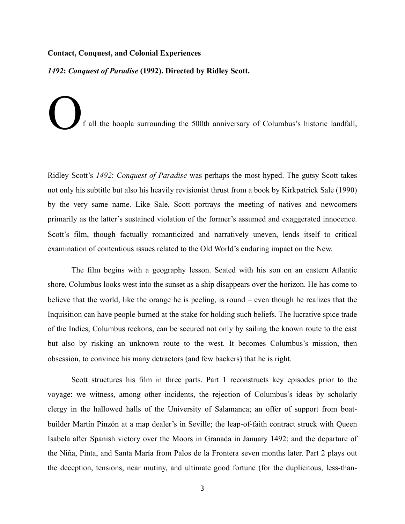### **Contact, Conquest, and Colonial Experiences**

*1492***:** *Conquest of Paradise* **(1992). Directed by Ridley Scott.** 

f all the hoopla surrounding the 500th anniversary of Columbus's historic landfall,

Ridley Scott's *1492*: *Conquest of Paradise* was perhaps the most hyped. The gutsy Scott takes not only his subtitle but also his heavily revisionist thrust from a book by Kirkpatrick Sale (1990) by the very same name. Like Sale, Scott portrays the meeting of natives and newcomers primarily as the latter's sustained violation of the former's assumed and exaggerated innocence. Scott's film, though factually romanticized and narratively uneven, lends itself to critical examination of contentious issues related to the Old World's enduring impact on the New.

The film begins with a geography lesson. Seated with his son on an eastern Atlantic shore, Columbus looks west into the sunset as a ship disappears over the horizon. He has come to believe that the world, like the orange he is peeling, is round – even though he realizes that the Inquisition can have people burned at the stake for holding such beliefs. The lucrative spice trade of the Indies, Columbus reckons, can be secured not only by sailing the known route to the east but also by risking an unknown route to the west. It becomes Columbus's mission, then obsession, to convince his many detractors (and few backers) that he is right.

Scott structures his film in three parts. Part 1 reconstructs key episodes prior to the voyage: we witness, among other incidents, the rejection of Columbus's ideas by scholarly clergy in the hallowed halls of the University of Salamanca; an offer of support from boatbuilder Martín Pinzón at a map dealer's in Seville; the leap-of-faith contract struck with Queen Isabela after Spanish victory over the Moors in Granada in January 1492; and the departure of the Niña, Pinta, and Santa María from Palos de la Frontera seven months later. Part 2 plays out the deception, tensions, near mutiny, and ultimate good fortune (for the duplicitous, less-than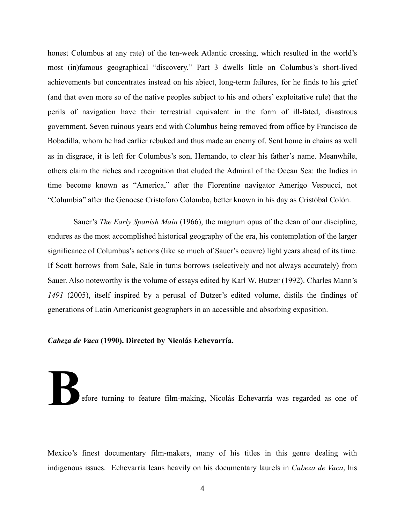honest Columbus at any rate) of the ten-week Atlantic crossing, which resulted in the world's most (in)famous geographical "discovery." Part 3 dwells little on Columbus's short-lived achievements but concentrates instead on his abject, long-term failures, for he finds to his grief (and that even more so of the native peoples subject to his and others' exploitative rule) that the perils of navigation have their terrestrial equivalent in the form of ill-fated, disastrous government. Seven ruinous years end with Columbus being removed from office by Francisco de Bobadilla, whom he had earlier rebuked and thus made an enemy of. Sent home in chains as well as in disgrace, it is left for Columbus's son, Hernando, to clear his father's name. Meanwhile, others claim the riches and recognition that eluded the Admiral of the Ocean Sea: the Indies in time become known as "America," after the Florentine navigator Amerigo Vespucci, not "Columbia" after the Genoese Cristoforo Colombo, better known in his day as Cristóbal Colón.

 Sauer's *The Early Spanish Main* (1966), the magnum opus of the dean of our discipline, endures as the most accomplished historical geography of the era, his contemplation of the larger significance of Columbus's actions (like so much of Sauer's oeuvre) light years ahead of its time. If Scott borrows from Sale, Sale in turns borrows (selectively and not always accurately) from Sauer. Also noteworthy is the volume of essays edited by Karl W. Butzer (1992). Charles Mann's *1491* (2005), itself inspired by a perusal of Butzer's edited volume, distils the findings of generations of Latin Americanist geographers in an accessible and absorbing exposition.

### *Cabeza de Vaca* **(1990). Directed by Nicolás Echevarría.**

efore turning to feature film-making, Nicolás Echevarría was regarded as one of

Mexico's finest documentary film-makers, many of his titles in this genre dealing with indigenous issues. Echevarría leans heavily on his documentary laurels in *Cabeza de Vaca*, his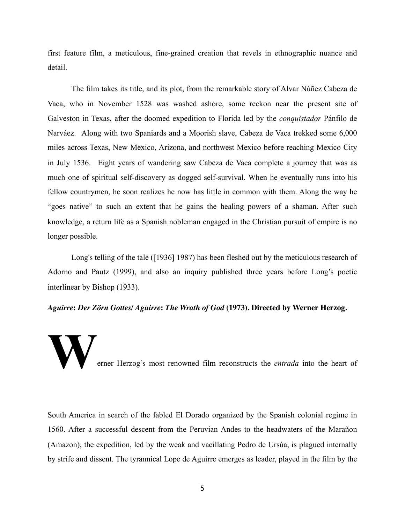first feature film, a meticulous, fine-grained creation that revels in ethnographic nuance and detail.

The film takes its title, and its plot, from the remarkable story of Alvar Núñez Cabeza de Vaca, who in November 1528 was washed ashore, some reckon near the present site of Galveston in Texas, after the doomed expedition to Florida led by the *conquistador* Pánfilo de Narváez. Along with two Spaniards and a Moorish slave, Cabeza de Vaca trekked some 6,000 miles across Texas, New Mexico, Arizona, and northwest Mexico before reaching Mexico City in July 1536. Eight years of wandering saw Cabeza de Vaca complete a journey that was as much one of spiritual self-discovery as dogged self-survival. When he eventually runs into his fellow countrymen, he soon realizes he now has little in common with them. Along the way he "goes native" to such an extent that he gains the healing powers of a shaman. After such knowledge, a return life as a Spanish nobleman engaged in the Christian pursuit of empire is no longer possible.

Long's telling of the tale ([1936] 1987) has been fleshed out by the meticulous research of Adorno and Pautz (1999), and also an inquiry published three years before Long's poetic interlinear by Bishop (1933).

*Aguirre***:** *Der Zörn Gottes/ Aguirre***:** *The Wrath of God* **(1973). Directed by Werner Herzog.**

erner Herzog's most renowned film reconstructs the *entrada* into the heart of

South America in search of the fabled El Dorado organized by the Spanish colonial regime in 1560. After a successful descent from the Peruvian Andes to the headwaters of the Marañon (Amazon), the expedition, led by the weak and vacillating Pedro de Ursúa, is plagued internally by strife and dissent. The tyrannical Lope de Aguirre emerges as leader, played in the film by the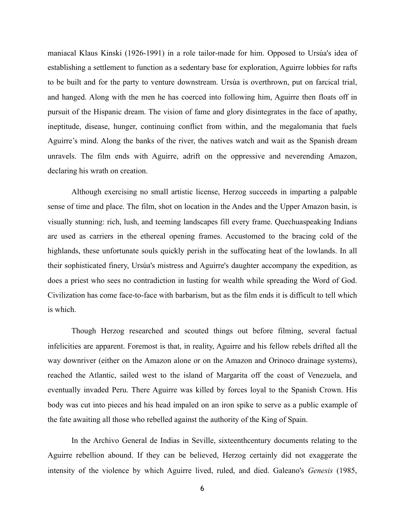maniacal Klaus Kinski (1926-1991) in a role tailor-made for him. Opposed to Ursúa's idea of establishing a settlement to function as a sedentary base for exploration, Aguirre lobbies for rafts to be built and for the party to venture downstream. Ursúa is overthrown, put on farcical trial, and hanged. Along with the men he has coerced into following him, Aguirre then floats off in pursuit of the Hispanic dream. The vision of fame and glory disintegrates in the face of apathy, ineptitude, disease, hunger, continuing conflict from within, and the megalomania that fuels Aguirre's mind. Along the banks of the river, the natives watch and wait as the Spanish dream unravels. The film ends with Aguirre, adrift on the oppressive and neverending Amazon, declaring his wrath on creation.

Although exercising no small artistic license, Herzog succeeds in imparting a palpable sense of time and place. The film, shot on location in the Andes and the Upper Amazon basin, is visually stunning: rich, lush, and teeming landscapes fill every frame. Quechuaspeaking Indians are used as carriers in the ethereal opening frames. Accustomed to the bracing cold of the highlands, these unfortunate souls quickly perish in the suffocating heat of the lowlands. In all their sophisticated finery, Ursúa's mistress and Aguirre's daughter accompany the expedition, as does a priest who sees no contradiction in lusting for wealth while spreading the Word of God. Civilization has come face-to-face with barbarism, but as the film ends it is difficult to tell which is which.

Though Herzog researched and scouted things out before filming, several factual infelicities are apparent. Foremost is that, in reality, Aguirre and his fellow rebels drifted all the way downriver (either on the Amazon alone or on the Amazon and Orinoco drainage systems), reached the Atlantic, sailed west to the island of Margarita off the coast of Venezuela, and eventually invaded Peru. There Aguirre was killed by forces loyal to the Spanish Crown. His body was cut into pieces and his head impaled on an iron spike to serve as a public example of the fate awaiting all those who rebelled against the authority of the King of Spain.

In the Archivo General de Indias in Seville, sixteenthcentury documents relating to the Aguirre rebellion abound. If they can be believed, Herzog certainly did not exaggerate the intensity of the violence by which Aguirre lived, ruled, and died. Galeano's *Genesis* (1985,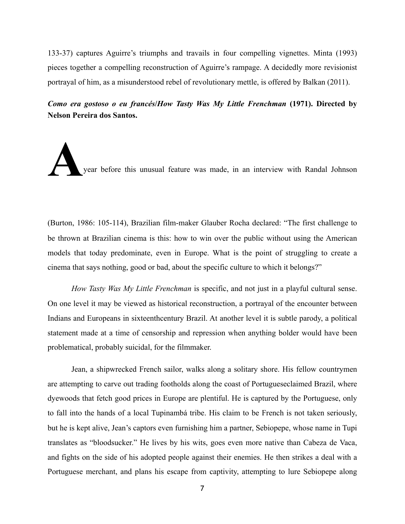133-37) captures Aguirre's triumphs and travails in four compelling vignettes. Minta (1993) pieces together a compelling reconstruction of Aguirre's rampage. A decidedly more revisionist portrayal of him, as a misunderstood rebel of revolutionary mettle, is offered by Balkan (2011).

*Como era gostoso o eu francés***/***How Tasty Was My Little Frenchman* **(1971). Directed by Nelson Pereira dos Santos.** 

**A**year before this unusual feature was made, in an interview with Randal Johnson

(Burton, 1986: 105-114), Brazilian film-maker Glauber Rocha declared: "The first challenge to be thrown at Brazilian cinema is this: how to win over the public without using the American models that today predominate, even in Europe. What is the point of struggling to create a cinema that says nothing, good or bad, about the specific culture to which it belongs?"

*How Tasty Was My Little Frenchman* is specific, and not just in a playful cultural sense. On one level it may be viewed as historical reconstruction, a portrayal of the encounter between Indians and Europeans in sixteenthcentury Brazil. At another level it is subtle parody, a political statement made at a time of censorship and repression when anything bolder would have been problematical, probably suicidal, for the filmmaker.

Jean, a shipwrecked French sailor, walks along a solitary shore. His fellow countrymen are attempting to carve out trading footholds along the coast of Portugueseclaimed Brazil, where dyewoods that fetch good prices in Europe are plentiful. He is captured by the Portuguese, only to fall into the hands of a local Tupinambá tribe. His claim to be French is not taken seriously, but he is kept alive, Jean's captors even furnishing him a partner, Sebiopepe, whose name in Tupi translates as "bloodsucker." He lives by his wits, goes even more native than Cabeza de Vaca, and fights on the side of his adopted people against their enemies. He then strikes a deal with a Portuguese merchant, and plans his escape from captivity, attempting to lure Sebiopepe along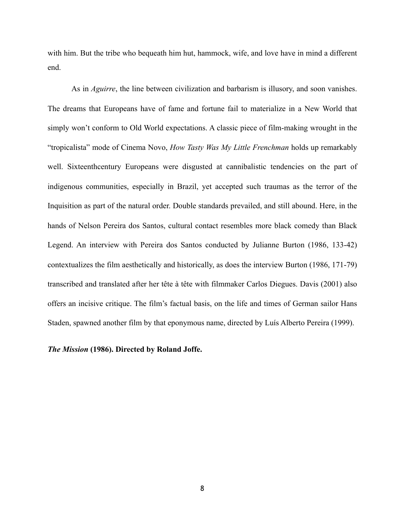with him. But the tribe who bequeath him hut, hammock, wife, and love have in mind a different end.

As in *Aguirre*, the line between civilization and barbarism is illusory, and soon vanishes. The dreams that Europeans have of fame and fortune fail to materialize in a New World that simply won't conform to Old World expectations. A classic piece of film-making wrought in the "tropicalista" mode of Cinema Novo, *How Tasty Was My Little Frenchman* holds up remarkably well. Sixteenthcentury Europeans were disgusted at cannibalistic tendencies on the part of indigenous communities, especially in Brazil, yet accepted such traumas as the terror of the Inquisition as part of the natural order. Double standards prevailed, and still abound. Here, in the hands of Nelson Pereira dos Santos, cultural contact resembles more black comedy than Black Legend. An interview with Pereira dos Santos conducted by Julianne Burton (1986, 133-42) contextualizes the film aesthetically and historically, as does the interview Burton (1986, 171-79) transcribed and translated after her tête à tête with filmmaker Carlos Diegues. Davis (2001) also offers an incisive critique. The film's factual basis, on the life and times of German sailor Hans Staden, spawned another film by that eponymous name, directed by Luís Alberto Pereira (1999).

*The Mission* **(1986). Directed by Roland Joffe.**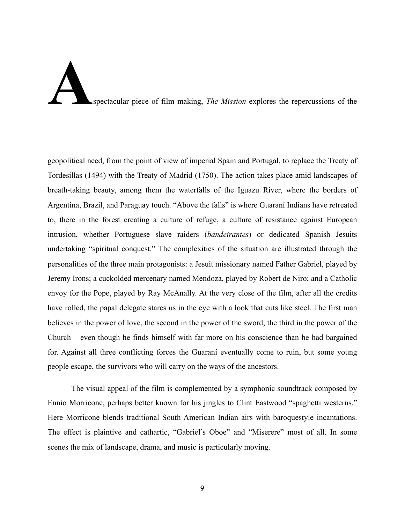## **A**spectacular piece of film making, *The Mission* explores the repercussions of the

geopolitical need, from the point of view of imperial Spain and Portugal, to replace the Treaty of Tordesillas (1494) with the Treaty of Madrid (1750). The action takes place amid landscapes of breath-taking beauty, among them the waterfalls of the Iguazu River, where the borders of Argentina, Brazil, and Paraguay touch. "Above the falls" is where Guaraní Indians have retreated to, there in the forest creating a culture of refuge, a culture of resistance against European intrusion, whether Portuguese slave raiders (*bandeirantes*) or dedicated Spanish Jesuits undertaking "spiritual conquest." The complexities of the situation are illustrated through the personalities of the three main protagonists: a Jesuit missionary named Father Gabriel, played by Jeremy Irons; a cuckolded mercenary named Mendoza, played by Robert de Niro; and a Catholic envoy for the Pope, played by Ray McAnally. At the very close of the film, after all the credits have rolled, the papal delegate stares us in the eye with a look that cuts like steel. The first man believes in the power of love, the second in the power of the sword, the third in the power of the Church – even though he finds himself with far more on his conscience than he had bargained for. Against all three conflicting forces the Guaraní eventually come to ruin, but some young people escape, the survivors who will carry on the ways of the ancestors.

The visual appeal of the film is complemented by a symphonic soundtrack composed by Ennio Morricone, perhaps better known for his jingles to Clint Eastwood "spaghetti westerns." Here Morricone blends traditional South American Indian airs with baroquestyle incantations. The effect is plaintive and cathartic, "Gabriel's Oboe" and "Miserere" most of all. In some scenes the mix of landscape, drama, and music is particularly moving.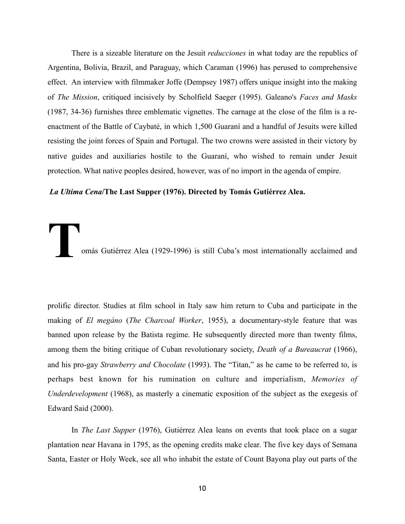There is a sizeable literature on the Jesuit *reducciones* in what today are the republics of Argentina, Bolivia, Brazil, and Paraguay, which Caraman (1996) has perused to comprehensive effect. An interview with filmmaker Joffe (Dempsey 1987) offers unique insight into the making of *The Mission*, critiqued incisively by Scholfield Saeger (1995). Galeano's *Faces and Masks* (1987, 34-36) furnishes three emblematic vignettes. The carnage at the close of the film is a reenactment of the Battle of Caybaté, in which 1,500 Guaraní and a handful of Jesuits were killed resisting the joint forces of Spain and Portugal. The two crowns were assisted in their victory by native guides and auxiliaries hostile to the Guaraní, who wished to remain under Jesuit protection. What native peoples desired, however, was of no import in the agenda of empire.

### *La Ultima Cena***/The Last Supper (1976). Directed by Tomás Gutiérrez Alea.**

omás Gutiérrez Alea (1929-1996) is still Cuba's most internationally acclaimed and

prolific director. Studies at film school in Italy saw him return to Cuba and participate in the making of *El megáno* (*The Charcoal Worker*, 1955), a documentary-style feature that was banned upon release by the Batista regime. He subsequently directed more than twenty films, among them the biting critique of Cuban revolutionary society, *Death of a Bureaucrat* (1966), and his pro-gay *Strawberry and Chocolate* (1993). The "Titan," as he came to be referred to, is perhaps best known for his rumination on culture and imperialism, *Memories of Underdevelopment* (1968), as masterly a cinematic exposition of the subject as the exegesis of Edward Said (2000).

In *The Last Supper* (1976), Gutiérrez Alea leans on events that took place on a sugar plantation near Havana in 1795, as the opening credits make clear. The five key days of Semana Santa, Easter or Holy Week, see all who inhabit the estate of Count Bayona play out parts of the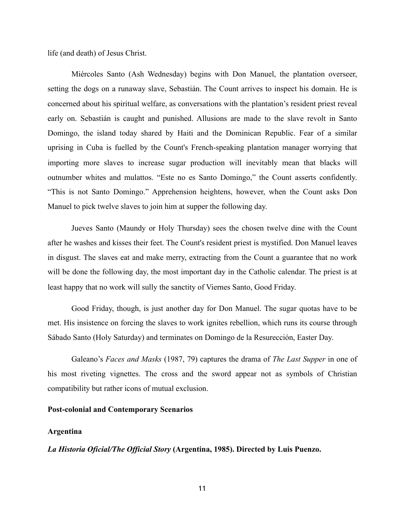life (and death) of Jesus Christ.

Miércoles Santo (Ash Wednesday) begins with Don Manuel, the plantation overseer, setting the dogs on a runaway slave, Sebastián. The Count arrives to inspect his domain. He is concerned about his spiritual welfare, as conversations with the plantation's resident priest reveal early on. Sebastián is caught and punished. Allusions are made to the slave revolt in Santo Domingo, the island today shared by Haiti and the Dominican Republic. Fear of a similar uprising in Cuba is fuelled by the Count's French-speaking plantation manager worrying that importing more slaves to increase sugar production will inevitably mean that blacks will outnumber whites and mulattos. "Este no es Santo Domingo," the Count asserts confidently. "This is not Santo Domingo." Apprehension heightens, however, when the Count asks Don Manuel to pick twelve slaves to join him at supper the following day.

Jueves Santo (Maundy or Holy Thursday) sees the chosen twelve dine with the Count after he washes and kisses their feet. The Count's resident priest is mystified. Don Manuel leaves in disgust. The slaves eat and make merry, extracting from the Count a guarantee that no work will be done the following day, the most important day in the Catholic calendar. The priest is at least happy that no work will sully the sanctity of Viernes Santo, Good Friday.

Good Friday, though, is just another day for Don Manuel. The sugar quotas have to be met. His insistence on forcing the slaves to work ignites rebellion, which runs its course through Sábado Santo (Holy Saturday) and terminates on Domingo de la Resurección, Easter Day.

Galeano's *Faces and Masks* (1987, 79) captures the drama of *The Last Supper* in one of his most riveting vignettes. The cross and the sword appear not as symbols of Christian compatibility but rather icons of mutual exclusion.

### **Post-colonial and Contemporary Scenarios**

### **Argentina**

*La Historia Oficial/The Official Story* **(Argentina, 1985). Directed by Luis Puenzo.**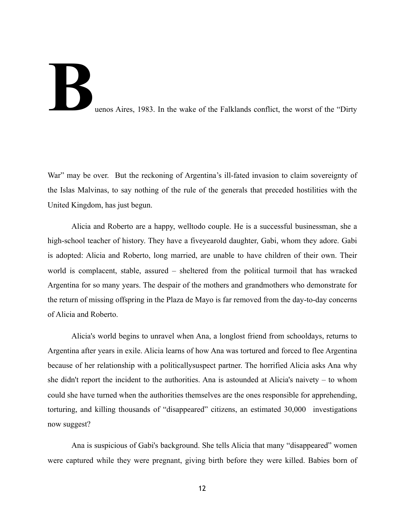# **Buenos Aires, 1983.** In the wake of the Falklands conflict, the worst of the "Dirty"

War" may be over. But the reckoning of Argentina's ill-fated invasion to claim sovereignty of the Islas Malvinas, to say nothing of the rule of the generals that preceded hostilities with the United Kingdom, has just begun.

Alicia and Roberto are a happy, welltodo couple. He is a successful businessman, she a high-school teacher of history. They have a fiveyearold daughter, Gabi, whom they adore. Gabi is adopted: Alicia and Roberto, long married, are unable to have children of their own. Their world is complacent, stable, assured – sheltered from the political turmoil that has wracked Argentina for so many years. The despair of the mothers and grandmothers who demonstrate for the return of missing offspring in the Plaza de Mayo is far removed from the day-to-day concerns of Alicia and Roberto.

Alicia's world begins to unravel when Ana, a longlost friend from schooldays, returns to Argentina after years in exile. Alicia learns of how Ana was tortured and forced to flee Argentina because of her relationship with a politicallysuspect partner. The horrified Alicia asks Ana why she didn't report the incident to the authorities. Ana is astounded at Alicia's naivety – to whom could she have turned when the authorities themselves are the ones responsible for apprehending, torturing, and killing thousands of "disappeared" citizens, an estimated 30,000 investigations now suggest?

Ana is suspicious of Gabi's background. She tells Alicia that many "disappeared" women were captured while they were pregnant, giving birth before they were killed. Babies born of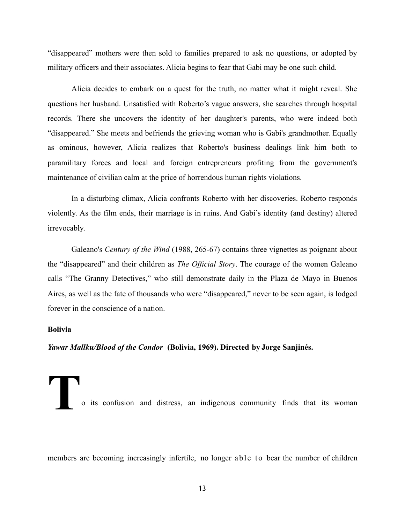"disappeared" mothers were then sold to families prepared to ask no questions, or adopted by military officers and their associates. Alicia begins to fear that Gabi may be one such child.

Alicia decides to embark on a quest for the truth, no matter what it might reveal. She questions her husband. Unsatisfied with Roberto's vague answers, she searches through hospital records. There she uncovers the identity of her daughter's parents, who were indeed both "disappeared." She meets and befriends the grieving woman who is Gabi's grandmother. Equally as ominous, however, Alicia realizes that Roberto's business dealings link him both to paramilitary forces and local and foreign entrepreneurs profiting from the government's maintenance of civilian calm at the price of horrendous human rights violations.

In a disturbing climax, Alicia confronts Roberto with her discoveries. Roberto responds violently. As the film ends, their marriage is in ruins. And Gabi's identity (and destiny) altered irrevocably.

Galeano's *Century of the Wind* (1988, 265-67) contains three vignettes as poignant about the "disappeared" and their children as *The Official Story*. The courage of the women Galeano calls "The Granny Detectives," who still demonstrate daily in the Plaza de Mayo in Buenos Aires, as well as the fate of thousands who were "disappeared," never to be seen again, is lodged forever in the conscience of a nation.

### **Bolivia**

*Yawar Mallku/Blood of the Condor* **(Bolivia, 1969). Directed by Jorge Sanjinés.** 

**T**<br> **T**o its confusion and distress, an indigenous community finds that its woman

members are becoming increasingly infertile, no longer able to bear the number of children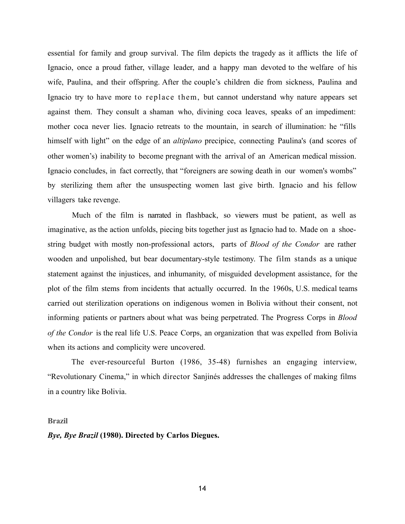essential for family and group survival. The film depicts the tragedy as it afflicts the life of Ignacio, once a proud father, village leader, and a happy man devoted to the welfare of his wife, Paulina, and their offspring. After the couple's children die from sickness, Paulina and Ignacio try to have more to replace them, but cannot understand why nature appears set against them. They consult a shaman who, divining coca leaves, speaks of an impediment: mother coca never lies. Ignacio retreats to the mountain, in search of illumination: he "fills himself with light" on the edge of an *altiplano* precipice, connecting Paulina's (and scores of other women's) inability to become pregnant with the arrival of an American medical mission. Ignacio concludes, in fact correctly, that "foreigners are sowing death in our women's wombs" by sterilizing them after the unsuspecting women last give birth. Ignacio and his fellow villagers take revenge.

Much of the film is narrated in flashback, so viewers must be patient, as well as imaginative, as the action unfolds, piecing bits together just as Ignacio had to. Made on a shoestring budget with mostly non-professional actors, parts of *Blood of the Condor* are rather wooden and unpolished, but bear documentary-style testimony. The film stands as a unique statement against the injustices, and inhumanity, of misguided development assistance, for the plot of the film stems from incidents that actually occurred. In the 1960s, U.S. medical teams carried out sterilization operations on indigenous women in Bolivia without their consent, not informing patients or partners about what was being perpetrated. The Progress Corps in *Blood of the Condor* is the real life U.S. Peace Corps, an organization that was expelled from Bolivia when its actions and complicity were uncovered.

The ever-resourceful Burton (1986, 35-48) furnishes an engaging interview, "Revolutionary Cinema," in which director Sanjinés addresses the challenges of making films in a country like Bolivia.

**Brazil** 

### *Bye, Bye Brazil* **(1980). Directed by Carlos Diegues.**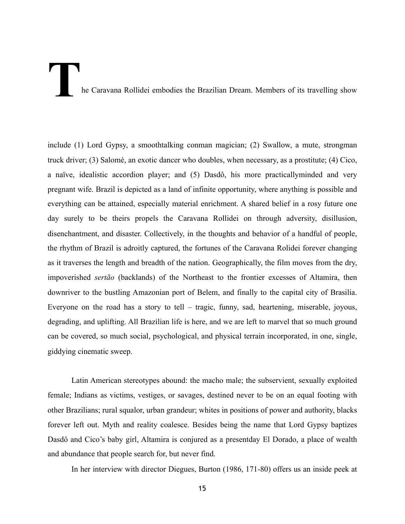### he Caravana Rollidei embodies the Brazilian Dream. Members of its travelling show

include (1) Lord Gypsy, a smoothtalking conman magician; (2) Swallow, a mute, strongman truck driver; (3) Salomé, an exotic dancer who doubles, when necessary, as a prostitute; (4) Cico, a naïve, idealistic accordion player; and (5) Dasdô, his more practicallyminded and very pregnant wife. Brazil is depicted as a land of infinite opportunity, where anything is possible and everything can be attained, especially material enrichment. A shared belief in a rosy future one day surely to be theirs propels the Caravana Rollidei on through adversity, disillusion, disenchantment, and disaster. Collectively, in the thoughts and behavior of a handful of people, the rhythm of Brazil is adroitly captured, the fortunes of the Caravana Rolidei forever changing as it traverses the length and breadth of the nation. Geographically, the film moves from the dry, impoverished *sertão* (backlands) of the Northeast to the frontier excesses of Altamira, then downriver to the bustling Amazonian port of Belem, and finally to the capital city of Brasilia. Everyone on the road has a story to tell – tragic, funny, sad, heartening, miserable, joyous, degrading, and uplifting. All Brazilian life is here, and we are left to marvel that so much ground can be covered, so much social, psychological, and physical terrain incorporated, in one, single, giddying cinematic sweep.

Latin American stereotypes abound: the macho male; the subservient, sexually exploited female; Indians as victims, vestiges, or savages, destined never to be on an equal footing with other Brazilians; rural squalor, urban grandeur; whites in positions of power and authority, blacks forever left out. Myth and reality coalesce. Besides being the name that Lord Gypsy baptizes Dasdô and Cico's baby girl, Altamira is conjured as a presentday El Dorado, a place of wealth and abundance that people search for, but never find.

In her interview with director Diegues, Burton (1986, 171-80) offers us an inside peek at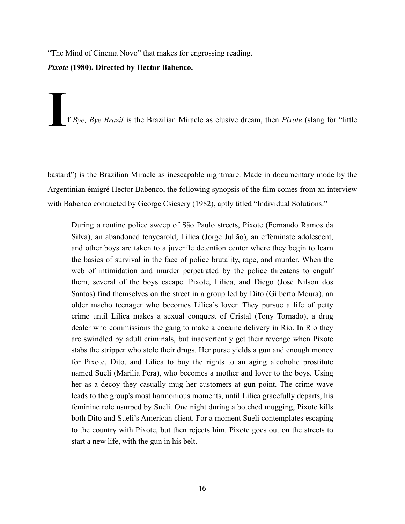"The Mind of Cinema Novo" that makes for engrossing reading. *Pixote* **(1980). Directed by Hector Babenco.**

**I**f *Bye, Bye Brazil* is the Brazilian Miracle as elusive dream, then *Pixote* (slang for "little

bastard") is the Brazilian Miracle as inescapable nightmare. Made in documentary mode by the Argentinian émigré Hector Babenco, the following synopsis of the film comes from an interview with Babenco conducted by George Csicsery (1982), aptly titled "Individual Solutions:"

During a routine police sweep of São Paulo streets, Pixote (Fernando Ramos da Silva), an abandoned tenyearold, Lilica (Jorge Julião), an effeminate adolescent, and other boys are taken to a juvenile detention center where they begin to learn the basics of survival in the face of police brutality, rape, and murder. When the web of intimidation and murder perpetrated by the police threatens to engulf them, several of the boys escape. Pixote, Lilica, and Diego (José Nilson dos Santos) find themselves on the street in a group led by Dito (Gilberto Moura), an older macho teenager who becomes Lilica's lover. They pursue a life of petty crime until Lilica makes a sexual conquest of Cristal (Tony Tornado), a drug dealer who commissions the gang to make a cocaine delivery in Rio. In Rio they are swindled by adult criminals, but inadvertently get their revenge when Pixote stabs the stripper who stole their drugs. Her purse yields a gun and enough money for Pixote, Dito, and Lilica to buy the rights to an aging alcoholic prostitute named Sueli (Marilia Pera), who becomes a mother and lover to the boys. Using her as a decoy they casually mug her customers at gun point. The crime wave leads to the group's most harmonious moments, until Lilica gracefully departs, his feminine role usurped by Sueli. One night during a botched mugging, Pixote kills both Dito and Sueli's American client. For a moment Sueli contemplates escaping to the country with Pixote, but then rejects him. Pixote goes out on the streets to start a new life, with the gun in his belt.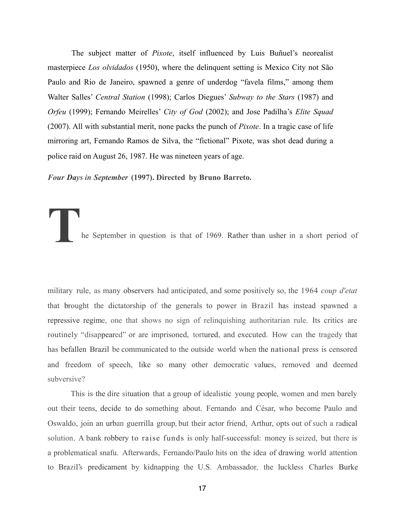The subject matter of *Pixote*, itself influenced by Luis Buñuel's neorealist masterpiece *Los olvidados* (1950), where the delinquent setting is Mexico City not São Paulo and Rio de Janeiro, spawned a genre of underdog "favela films," among them Walter Salles' *Central Station* (1998); Carlos Diegues' *Subway to the Stars* (1987) and *Orfeu* (1999); Fernando Meirelles' *City of God* (2002); and Jose Padilha's *Elite Squad* (2007). All with substantial merit, none packs the punch of *Pixote*. In a tragic case of life mirroring art, Fernando Ramos de Silva, the "fictional" Pixote, was shot dead during a police raid on August 26, 1987. He was nineteen years of age.

*Four Days in September* **(1997). Directed by Bruno Barreto.**

**T**he September in question is that of 1969. Rather than usher in <sup>a</sup> short period of

military rule, as many observers had anticipated, and some positively so, the 1964 *coup d'etat* that brought the dictatorship of the generals to power in Brazil has instead spawned a repressive regime, one that shows no sign of relinquishing authoritarian rule. Its critics are routinely "disappeared" or are imprisoned, tortured, and executed. How can the tragedy that has befallen Brazil be communicated to the outside world when the national press is censored and freedom of speech, like so many other democratic values, removed and deemed subversive?

This is the dire situation that a group of idealistic young people, women and men barely out their teens, decide to do something about. Fernando and César, who become Paulo and Oswaldo, join an urban guerrilla group, but their actor friend, Arthur, opts out of such a radical solution. A bank robbery to raise funds is only half-successful: money is seized, but there is a problematical snafu. Afterwards, Fernando/Paulo hits on the idea of drawing world attention to Brazil's predicament by kidnapping the U.S. Ambassador, the luckless Charles Burke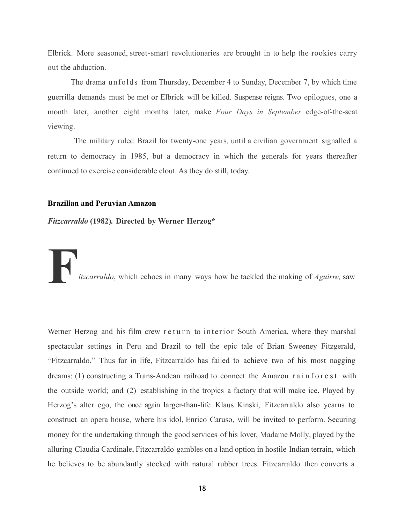Elbrick. More seasoned, street-smart revolutionaries are brought in to help the rookies carry out the abduction.

The drama unfolds from Thursday, December 4 to Sunday, December 7, by which time guerrilla demands must be met or Elbrick will be killed. Suspense reigns. Two epilogues, one a month later, another eight months later, make *Four Days in September* edge-of-the-seat viewing.

The military ruled Brazil for twenty-one years, until a civilian government signalled a return to democracy in 1985, but a democracy in which the generals for years thereafter continued to exercise considerable clout. As they do still, today.

### **Brazilian and Peruvian Amazon**

*Fitzcarraldo* **(1982)***.* **Directed by Werner Herzog\***

**F***itzcarraldo*, which echoes in many ways how he tackled the making of *Aguirre,* saw

Werner Herzog and his film crew return to interior South America, where they marshal spectacular settings in Peru and Brazil to tell the epic tale of Brian Sweeney Fitzgerald, "Fitzcarraldo." Thus far in life, Fitzcarraldo has failed to achieve two of his most nagging dreams: (1) constructing a Trans-Andean railroad to connect the Amazon rainforest with the outside world; and (2) establishing in the tropics a factory that will make ice. Played by Herzog's alter ego, the once again larger-than-life Klaus Kinski, Fitzcarraldo also yearns to construct an opera house, where his idol, Enrico Caruso, will be invited to perform. Securing money for the undertaking through the good services of his lover, Madame Molly, played by the alluring Claudia Cardinale, Fitzcarraldo gambles on a land option in hostile Indian terrain, which he believes to be abundantly stocked with natural rubber trees. Fitzcarraldo then converts a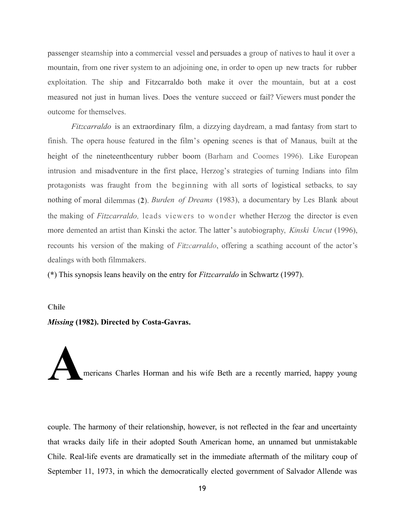passenger steamship into a commercial vessel and persuades a group of natives to haul it over a mountain, from one river system to an adjoining one, in order to open up new tracts for rubber exploitation. The ship and Fitzcarraldo both make it over the mountain, but at a cost measured not just in human lives. Does the venture succeed or fail? Viewers must ponder the outcome for themselves.

*Fitzcarraldo* is an extraordinary film, a dizzying daydream, a mad fantasy from start to finish. The opera house featured in the film's opening scenes is that of Manaus, built at the height of the nineteenthcentury rubber boom (Barham and Coomes 1996). Like European intrusion and misadventure in the first place, Herzog's strategies of turning Indians into film protagonists was fraught from the beginning with all sorts of logistical setbacks, to say nothing of moral dilemmas (**2**). *Burden of Dreams* (1983), a documentary by Les Blank about the making of *Fitzcarraldo,* leads viewers to wonder whether Herzog the director is even more demented an artist than Kinski the actor. The latter's autobiography, *Kinski Uncut* (1996), recounts his version of the making of *Fitzcarraldo*, offering a scathing account of the actor's dealings with both filmmakers.

(**\***) This synopsis leans heavily on the entry for *Fitzcarraldo* in Schwartz (1997).

### **Chile**

### *Missing* **(1982). Directed by Costa-Gavras.**

**A**mericans Charles Horman and his wife Beth are a recently married, happy young

couple. The harmony of their relationship, however, is not reflected in the fear and uncertainty that wracks daily life in their adopted South American home, an unnamed but unmistakable Chile. Real-life events are dramatically set in the immediate aftermath of the military coup of September 11, 1973, in which the democratically elected government of Salvador Allende was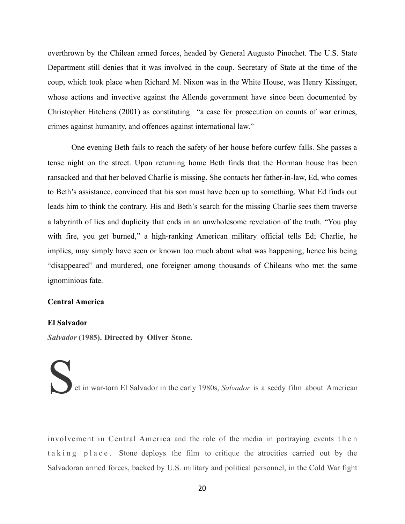overthrown by the Chilean armed forces, headed by General Augusto Pinochet. The U.S. State Department still denies that it was involved in the coup. Secretary of State at the time of the coup, which took place when Richard M. Nixon was in the White House, was Henry Kissinger, whose actions and invective against the Allende government have since been documented by Christopher Hitchens (2001) as constituting "a case for prosecution on counts of war crimes, crimes against humanity, and offences against international law."

One evening Beth fails to reach the safety of her house before curfew falls. She passes a tense night on the street. Upon returning home Beth finds that the Horman house has been ransacked and that her beloved Charlie is missing. She contacts her father-in-law, Ed, who comes to Beth's assistance, convinced that his son must have been up to something. What Ed finds out leads him to think the contrary. His and Beth's search for the missing Charlie sees them traverse a labyrinth of lies and duplicity that ends in an unwholesome revelation of the truth. "You play with fire, you get burned," a high-ranking American military official tells Ed; Charlie, he implies, may simply have seen or known too much about what was happening, hence his being "disappeared" and murdered, one foreigner among thousands of Chileans who met the same ignominious fate.

### **Central America**

### **El Salvador**

*Salvador* **(1985). Directed by Oliver Stone.**

et in war-torn El Salvador in the early 1980s, *Salvador* is a seedy film about American

involvement in Central America and the role of the media in portraying events then taking place. Stone deploys the film to critique the atrocities carried out by the Salvadoran armed forces, backed by U.S. military and political personnel, in the Cold War fight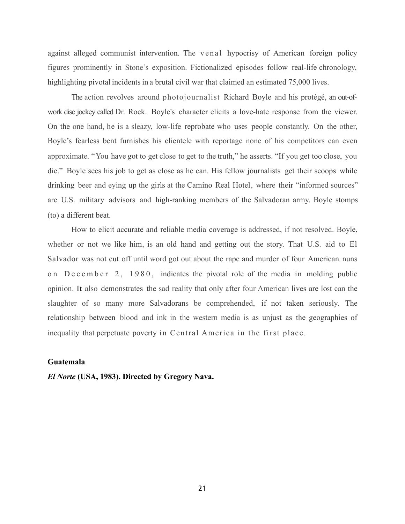against alleged communist intervention. The venal hypocrisy of American foreign policy figures prominently in Stone's exposition. Fictionalized episodes follow real-life chronology, highlighting pivotal incidents in a brutal civil war that claimed an estimated 75,000 lives.

The action revolves around photojournalist Richard Boyle and his protégé, an out-ofwork disc jockey called Dr. Rock. Boyle's character elicits a love-hate response from the viewer. On the one hand, he is a sleazy, low-life reprobate who uses people constantly. On the other, Boyle's fearless bent furnishes his clientele with reportage none of his competitors can even approximate. "You have got to get close to get to the truth," he asserts. "If you get too close, you die." Boyle sees his job to get as close as he can. His fellow journalists get their scoops while drinking beer and eying up the girls at the Camino Real Hotel, where their "informed sources" are U.S. military advisors and high-ranking members of the Salvadoran army. Boyle stomps (to) a different beat.

How to elicit accurate and reliable media coverage is addressed, if not resolved. Boyle, whether or not we like him, is an old hand and getting out the story. That U.S. aid to El Salvador was not cut off until word got out about the rape and murder of four American nuns on December 2, 1980, indicates the pivotal role of the media in molding public opinion. It also demonstrates the sad reality that only after four American lives are lost can the slaughter of so many more Salvadorans be comprehended, if not taken seriously. The relationship between blood and ink in the western media is as unjust as the geographies of inequality that perpetuate poverty in Central America in the first place.

### **Guatemala**

*El Norte* **(USA, 1983). Directed by Gregory Nava.**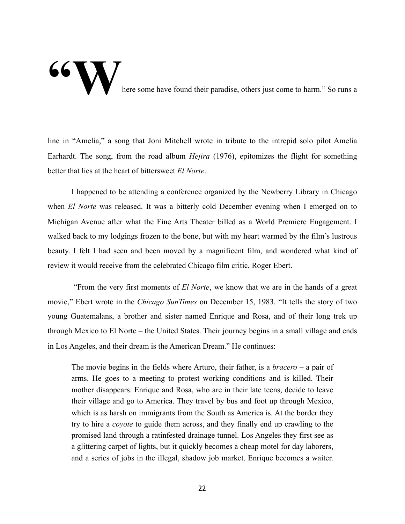### **66 Way of the Some have found their paradise, others just come to harm." So runs a**

line in "Amelia," a song that Joni Mitchell wrote in tribute to the intrepid solo pilot Amelia Earhardt. The song, from the road album *Hejira* (1976), epitomizes the flight for something better that lies at the heart of bittersweet *El Norte*.

I happened to be attending a conference organized by the Newberry Library in Chicago when *El Norte* was released. It was a bitterly cold December evening when I emerged on to Michigan Avenue after what the Fine Arts Theater billed as a World Premiere Engagement. I walked back to my lodgings frozen to the bone, but with my heart warmed by the film's lustrous beauty. I felt I had seen and been moved by a magnificent film, and wondered what kind of review it would receive from the celebrated Chicago film critic, Roger Ebert.

 "From the very first moments of *El Norte*, we know that we are in the hands of a great movie," Ebert wrote in the *Chicago SunTimes* on December 15, 1983. "It tells the story of two young Guatemalans, a brother and sister named Enrique and Rosa, and of their long trek up through Mexico to El Norte – the United States. Their journey begins in a small village and ends in Los Angeles, and their dream is the American Dream." He continues:

The movie begins in the fields where Arturo, their father, is a *bracero* – a pair of arms. He goes to a meeting to protest working conditions and is killed. Their mother disappears. Enrique and Rosa, who are in their late teens, decide to leave their village and go to America. They travel by bus and foot up through Mexico, which is as harsh on immigrants from the South as America is. At the border they try to hire a *coyote* to guide them across, and they finally end up crawling to the promised land through a ratinfested drainage tunnel. Los Angeles they first see as a glittering carpet of lights, but it quickly becomes a cheap motel for day laborers, and a series of jobs in the illegal, shadow job market. Enrique becomes a waiter.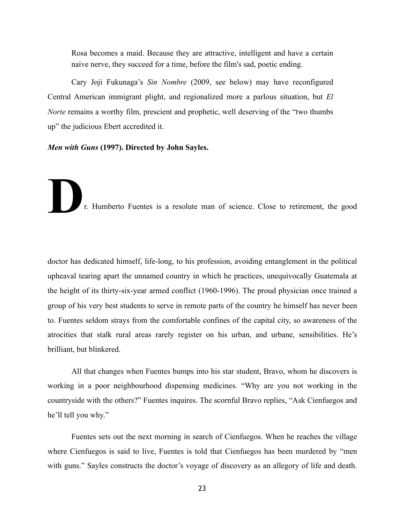Rosa becomes a maid. Because they are attractive, intelligent and have a certain naive nerve, they succeed for a time, before the film's sad, poetic ending.

 Cary Joji Fukunaga's *Sin Nombre* (2009, see below) may have reconfigured Central American immigrant plight, and regionalized more a parlous situation, but *El Norte* remains a worthy film, prescient and prophetic, well deserving of the "two thumbs" up" the judicious Ebert accredited it.

*Men with Guns* **(1997). Directed by John Sayles.**

**D**r. Humberto Fuentes is a resolute man of science. Close to retirement, the good

doctor has dedicated himself, life-long, to his profession, avoiding entanglement in the political upheaval tearing apart the unnamed country in which he practices, unequivocally Guatemala at the height of its thirty-six-year armed conflict (1960-1996). The proud physician once trained a group of his very best students to serve in remote parts of the country he himself has never been to. Fuentes seldom strays from the comfortable confines of the capital city, so awareness of the atrocities that stalk rural areas rarely register on his urban, and urbane, sensibilities. He's brilliant, but blinkered.

 All that changes when Fuentes bumps into his star student, Bravo, whom he discovers is working in a poor neighbourhood dispensing medicines. "Why are you not working in the countryside with the others?" Fuentes inquires. The scornful Bravo replies, "Ask Cienfuegos and he'll tell you why."

 Fuentes sets out the next morning in search of Cienfuegos. When he reaches the village where Cienfuegos is said to live, Fuentes is told that Cienfuegos has been murdered by "men with guns." Sayles constructs the doctor's voyage of discovery as an allegory of life and death.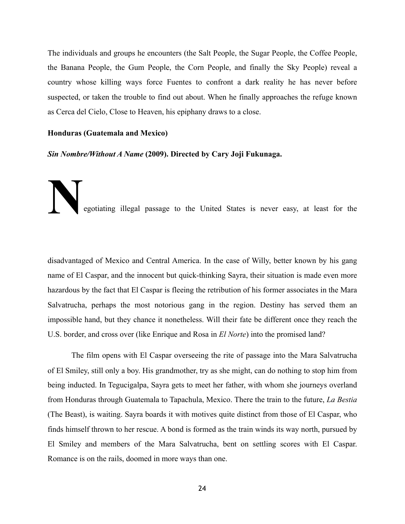The individuals and groups he encounters (the Salt People, the Sugar People, the Coffee People, the Banana People, the Gum People, the Corn People, and finally the Sky People) reveal a country whose killing ways force Fuentes to confront a dark reality he has never before suspected, or taken the trouble to find out about. When he finally approaches the refuge known as Cerca del Cielo, Close to Heaven, his epiphany draws to a close.

### **Honduras (Guatemala and Mexico)**

*Sin Nombre/Without A Name* **(2009). Directed by Cary Joji Fukunaga.** 

# **Negotiating illegal passage to the United States is never easy, at least for the**

disadvantaged of Mexico and Central America. In the case of Willy, better known by his gang name of El Caspar, and the innocent but quick-thinking Sayra, their situation is made even more hazardous by the fact that El Caspar is fleeing the retribution of his former associates in the Mara Salvatrucha, perhaps the most notorious gang in the region. Destiny has served them an impossible hand, but they chance it nonetheless. Will their fate be different once they reach the U.S. border, and cross over (like Enrique and Rosa in *El Norte*) into the promised land?

The film opens with El Caspar overseeing the rite of passage into the Mara Salvatrucha of El Smiley, still only a boy. His grandmother, try as she might, can do nothing to stop him from being inducted. In Tegucigalpa, Sayra gets to meet her father, with whom she journeys overland from Honduras through Guatemala to Tapachula, Mexico. There the train to the future, *La Bestia* (The Beast), is waiting. Sayra boards it with motives quite distinct from those of El Caspar, who finds himself thrown to her rescue. A bond is formed as the train winds its way north, pursued by El Smiley and members of the Mara Salvatrucha, bent on settling scores with El Caspar. Romance is on the rails, doomed in more ways than one.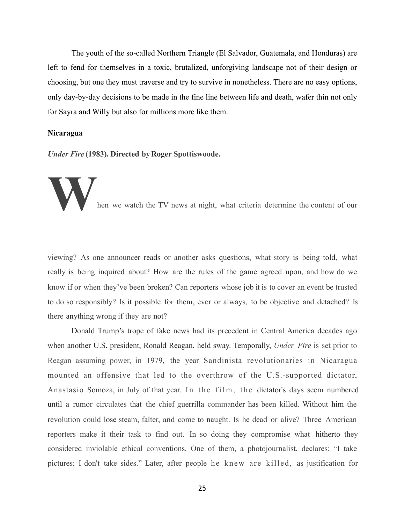The youth of the so-called Northern Triangle (El Salvador, Guatemala, and Honduras) are left to fend for themselves in a toxic, brutalized, unforgiving landscape not of their design or choosing, but one they must traverse and try to survive in nonetheless. There are no easy options, only day-by-day decisions to be made in the fine line between life and death, wafer thin not only for Sayra and Willy but also for millions more like them.

### **Nicaragua**

*Under Fire* **(1983). Directed byRoger Spottiswoode.** 

hen we watch the TV news at night, what criteria determine the content of our

viewing? As one announcer reads or another asks questions, what story is being told, what really is being inquired about? How are the rules of the game agreed upon, and how do we know if or when they've been broken? Can reporters whose job it is to cover an event be trusted to do so responsibly? Is it possible for them, ever or always, to be objective and detached? Is there anything wrong if they are not?

Donald Trump's trope of fake news had its precedent in Central America decades ago when another U.S. president, Ronald Reagan, held sway. Temporally, *Under Fire* is set prior to Reagan assuming power, in 1979, the year Sandinista revolutionaries in Nicaragua mounted an offensive that led to the overthrow of the U.S.-supported dictator, Anastasio Somoza, in July of that year. In the film, the dictator's days seem numbered until a rumor circulates that the chief guerrilla commander has been killed. Without him the revolution could lose steam, falter, and come to naught. Is he dead or alive? Three American reporters make it their task to find out. In so doing they compromise what hitherto they considered inviolable ethical conventions. One of them, a photojournalist, declares: "I take pictures; I don't take sides." Later, after people he knew are killed, as justification for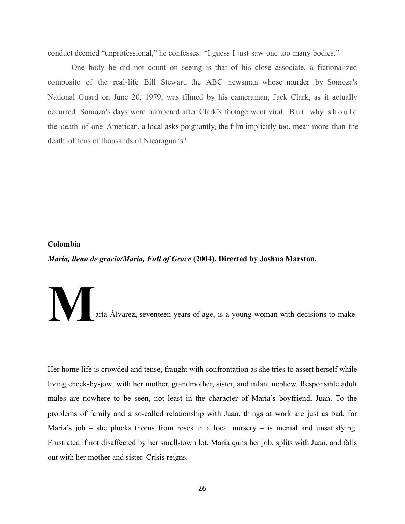conduct deemed "unprofessional," he confesses: "I guess I just saw one too many bodies."

One body he did not count on seeing is that of his close associate, a fictionalized composite of the real-life Bill Stewart, the ABC newsman whose murder by Somoza's National Guard on June 20, 1979, was filmed by his cameraman, Jack Clark, as it actually occurred. Somoza's days were numbered after Clark's footage went viral. But why should the death of one American, a local asks poignantly, the film implicitly too, mean more than the death of tens of thousands of Nicaraguans?

### **Colombia**

*María, llena de gracia/Maria, Full of Grace* **(2004). Directed by Joshua Marston.** 

aría Álvarez, seventeen years of age, is a young woman with decisions to make.

Her home life is crowded and tense, fraught with confrontation as she tries to assert herself while living cheek-by-jowl with her mother, grandmother, sister, and infant nephew. Responsible adult males are nowhere to be seen, not least in the character of María's boyfriend, Juan. To the problems of family and a so-called relationship with Juan, things at work are just as bad, for María's job – she plucks thorns from roses in a local nursery – is menial and unsatisfying. Frustrated if not disaffected by her small-town lot, María quits her job, splits with Juan, and falls out with her mother and sister. Crisis reigns.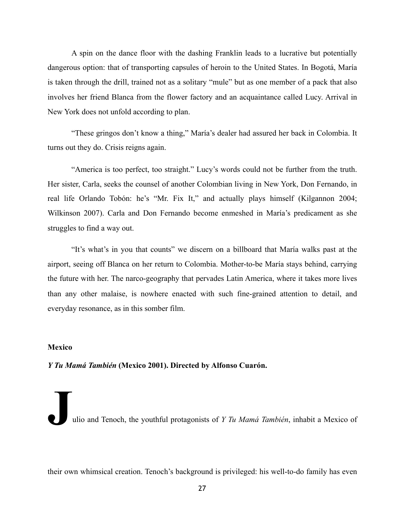A spin on the dance floor with the dashing Franklin leads to a lucrative but potentially dangerous option: that of transporting capsules of heroin to the United States. In Bogotá, María is taken through the drill, trained not as a solitary "mule" but as one member of a pack that also involves her friend Blanca from the flower factory and an acquaintance called Lucy. Arrival in New York does not unfold according to plan.

"These gringos don't know a thing," María's dealer had assured her back in Colombia. It turns out they do. Crisis reigns again.

"America is too perfect, too straight." Lucy's words could not be further from the truth. Her sister, Carla, seeks the counsel of another Colombian living in New York, Don Fernando, in real life Orlando Tobón: he's "Mr. Fix It," and actually plays himself (Kilgannon 2004; Wilkinson 2007). Carla and Don Fernando become enmeshed in María's predicament as she struggles to find a way out.

"It's what's in you that counts" we discern on a billboard that María walks past at the airport, seeing off Blanca on her return to Colombia. Mother-to-be María stays behind, carrying the future with her. The narco-geography that pervades Latin America, where it takes more lives than any other malaise, is nowhere enacted with such fine-grained attention to detail, and everyday resonance, as in this somber film.

### **Mexico**

*Y Tu Mamá También* **(Mexico 2001). Directed by Alfonso Cuarón.** 

**J**ulio and Tenoch, the youthful protagonists of *Y Tu Mamá También*, inhabit a Mexico of

their own whimsical creation. Tenoch's background is privileged: his well-to-do family has even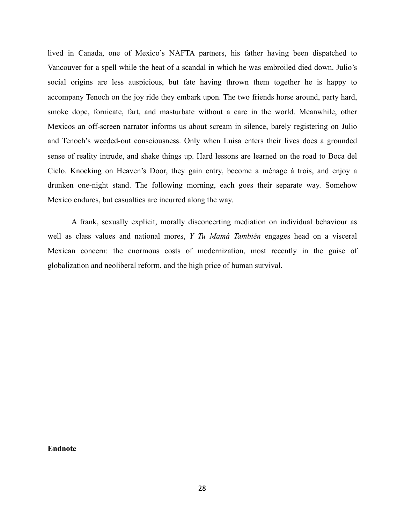lived in Canada, one of Mexico's NAFTA partners, his father having been dispatched to Vancouver for a spell while the heat of a scandal in which he was embroiled died down. Julio's social origins are less auspicious, but fate having thrown them together he is happy to accompany Tenoch on the joy ride they embark upon. The two friends horse around, party hard, smoke dope, fornicate, fart, and masturbate without a care in the world. Meanwhile, other Mexicos an off-screen narrator informs us about scream in silence, barely registering on Julio and Tenoch's weeded-out consciousness. Only when Luisa enters their lives does a grounded sense of reality intrude, and shake things up. Hard lessons are learned on the road to Boca del Cielo. Knocking on Heaven's Door, they gain entry, become a ménage à trois, and enjoy a drunken one-night stand. The following morning, each goes their separate way. Somehow Mexico endures, but casualties are incurred along the way.

A frank, sexually explicit, morally disconcerting mediation on individual behaviour as well as class values and national mores, *Y Tu Mamá También* engages head on a visceral Mexican concern: the enormous costs of modernization, most recently in the guise of globalization and neoliberal reform, and the high price of human survival.

**Endnote**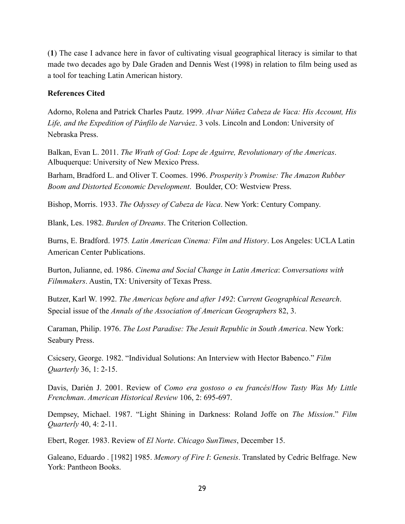(**1**) The case I advance here in favor of cultivating visual geographical literacy is similar to that made two decades ago by Dale Graden and Dennis West (1998) in relation to film being used as a tool for teaching Latin American history.

### **References Cited**

Adorno, Rolena and Patrick Charles Pautz. 1999. *Alvar Núñez Cabeza de Vaca: His Account, His Life, and the Expedition of Pánfilo de Narváez*. 3 vols. Lincoln and London: University of Nebraska Press.

Balkan, Evan L. 2011. *The Wrath of God: Lope de Aguirre, Revolutionary of the Americas*. Albuquerque: University of New Mexico Press.

Barham, Bradford L. and Oliver T. Coomes. 1996. *Prosperity's Promise: The Amazon Rubber Boom and Distorted Economic Development*. Boulder, CO: Westview Press.

Bishop, Morris. 1933. *The Odyssey of Cabeza de Vaca*. New York: Century Company.

Blank, Les. 1982. *Burden of Dreams*. The Criterion Collection.

Burns, E. Bradford. 1975*. Latin American Cinema: Film and History*. Los Angeles: UCLA Latin American Center Publications.

Burton, Julianne, ed. 1986. *Cinema and Social Change in Latin America*: *Conversations with Filmmakers*. Austin, TX: University of Texas Press.

Butzer, Karl W. 1992. *The Americas before and after 1492*: *Current Geographical Research*. Special issue of the *Annals of the Association of American Geographers* 82, 3.

Caraman, Philip. 1976. *The Lost Paradise: The Jesuit Republic in South America*. New York: Seabury Press.

Csicsery, George. 1982. "Individual Solutions: An Interview with Hector Babenco." *Film Quarterly* 36, 1: 2-15.

Davis, Darién J. 2001. Review of *Como era gostoso o eu francés*/*How Tasty Was My Little Frenchman*. *American Historical Review* 106, 2: 695-697.

Dempsey, Michael. 1987. "Light Shining in Darkness: Roland Joffe on *The Mission*." *Film Quarterly* 40, 4: 2-11.

Ebert, Roger. 1983. Review of *El Norte*. *Chicago SunTimes*, December 15.

Galeano, Eduardo . [1982] 1985. *Memory of Fire I*: *Genesis*. Translated by Cedric Belfrage. New York: Pantheon Books.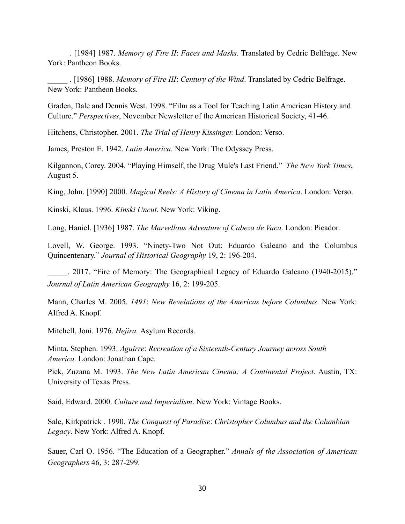\_\_\_\_\_ . [1984] 1987. *Memory of Fire II*: *Faces and Masks*. Translated by Cedric Belfrage. New York: Pantheon Books.

\_\_\_\_\_ . [1986] 1988. *Memory of Fire III*: *Century of the Wind*. Translated by Cedric Belfrage. New York: Pantheon Books.

Graden, Dale and Dennis West. 1998. "Film as a Tool for Teaching Latin American History and Culture." *Perspectives*, November Newsletter of the American Historical Society, 41-46.

Hitchens, Christopher. 2001. *The Trial of Henry Kissinger.* London: Verso.

James, Preston E. 1942. *Latin America*. New York: The Odyssey Press.

Kilgannon, Corey. 2004. "Playing Himself, the Drug Mule's Last Friend." *The New York Times*, August 5.

King, John. [1990] 2000. *Magical Reels: A History of Cinema in Latin America*. London: Verso.

Kinski, Klaus. 1996. *Kinski Uncut*. New York: Viking.

Long, Haniel. [1936] 1987. *The Marvellous Adventure of Cabeza de Vaca.* London: Picador.

Lovell, W. George. 1993. "Ninety-Two Not Out: Eduardo Galeano and the Columbus Quincentenary." *Journal of Historical Geography* 19, 2: 196-204.

. 2017. "Fire of Memory: The Geographical Legacy of Eduardo Galeano (1940-2015)." *Journal of Latin American Geography* 16, 2: 199-205.

Mann, Charles M. 2005. *1491*: *New Revelations of the Americas before Columbus*. New York: Alfred A. Knopf.

Mitchell, Joni. 1976. *Hejira.* Asylum Records.

Minta, Stephen. 1993. *Aguirre*: *Recreation of a Sixteenth-Century Journey across South America.* London: Jonathan Cape.

Pick, Zuzana M. 1993. *The New Latin American Cinema: A Continental Project*. Austin, TX: University of Texas Press.

Said, Edward. 2000. *Culture and Imperialism*. New York: Vintage Books.

Sale, Kirkpatrick . 1990. *The Conquest of Paradise*: *Christopher Columbus and the Columbian Legacy*. New York: Alfred A. Knopf.

Sauer, Carl O. 1956. "The Education of a Geographer." *Annals of the Association of American Geographers* 46, 3: 287-299.